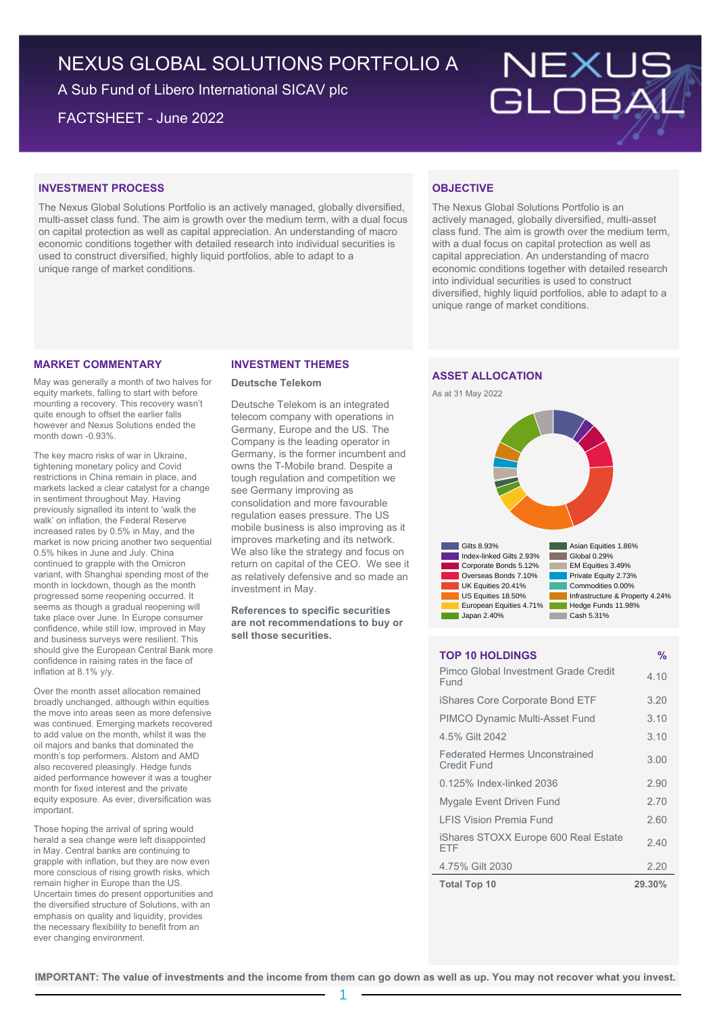# NEXUS GLOBAL SOLUTIONS PORTFOLIO A

A Sub Fund of Libero International SICAV plc

FACTSHEET - June 2022



### **INVESTMENT PROCESS**

The Nexus Global Solutions Portfolio is an actively managed, globally diversified, multi-asset class fund. The aim is growth over the medium term, with a dual focus on capital protection as well as capital appreciation. An understanding of macro economic conditions together with detailed research into individual securities is used to construct diversified, highly liquid portfolios, able to adapt to a unique range of market conditions.

#### **MARKET COMMENTARY**

May was generally a month of two halves for equity markets, falling to start with before mounting a recovery. This recovery wasn't quite enough to offset the earlier falls however and Nexus Solutions ended the month down -0.93%.

The key macro risks of war in Ukraine, tightening monetary policy and Covid restrictions in China remain in place, and markets lacked a clear catalyst for a change in sentiment throughout May. Having previously signalled its intent to 'walk the walk' on inflation, the Federal Reserve increased rates by 0.5% in May, and the market is now pricing another two sequential 0.5% hikes in June and July. China continued to grapple with the Omicron variant, with Shanghai spending most of the month in lockdown, though as the month progressed some reopening occurred. It seems as though a gradual reopening will take place over June. In Europe consumer confidence, while still low, improved in May and business surveys were resilient. This should give the European Central Bank more confidence in raising rates in the face of inflation at 8.1% y/y.

Over the month asset allocation remained broadly unchanged, although within equities the move into areas seen as more defensive was continued. Emerging markets recovered to add value on the month, whilst it was the oil majors and banks that dominated the month's top performers. Alstom and AMD also recovered pleasingly. Hedge funds aided performance however it was a tougher month for fixed interest and the private equity exposure. As ever, diversification was important.

Those hoping the arrival of spring would herald a sea change were left disappointed in May. Central banks are continuing to grapple with inflation, but they are now even more conscious of rising growth risks, which remain higher in Europe than the US. Uncertain times do present opportunities and the diversified structure of Solutions, with an emphasis on quality and liquidity, provides the necessary flexibility to benefit from an ever changing environment.

#### **INVESTMENT THEMES**

#### **Deutsche Telekom**

Deutsche Telekom is an integrated telecom company with operations in Germany, Europe and the US. The Company is the leading operator in Germany, is the former incumbent and owns the T-Mobile brand. Despite a tough regulation and competition we see Germany improving as consolidation and more favourable regulation eases pressure. The US mobile business is also improving as it improves marketing and its network. We also like the strategy and focus on return on capital of the CEO. We see it as relatively defensive and so made an investment in May.

**References to specific securities are not recommendations to buy or sell those securities.**

# **OBJECTIVE**

The Nexus Global Solutions Portfolio is an actively managed, globally diversified, multi-asset class fund. The aim is growth over the medium term, with a dual focus on capital protection as well as capital appreciation. An understanding of macro economic conditions together with detailed research into individual securities is used to construct diversified, highly liquid portfolios, able to adapt to a unique range of market conditions.

## **ASSET ALLOCATION**





### **TOP 10 HOLDINGS %**

| <b>Total Top 10</b>                                  | 29.30% |
|------------------------------------------------------|--------|
| 4.75% Gilt 2030                                      | 2.20   |
| iShares STOXX Europe 600 Real Estate<br>FTF          | 2.40   |
| <b>I FIS Vision Premia Fund</b>                      | 2.60   |
| Mygale Event Driven Fund                             | 2.70   |
| 0.125% Index-linked 2036                             | 2.90   |
| <b>Federated Hermes Unconstrained</b><br>Credit Fund | 3.00   |
| 4.5% Gilt 2042                                       | 3.10   |
| <b>PIMCO Dynamic Multi-Asset Fund</b>                | 3.10   |
| iShares Core Corporate Bond ETF                      | 3.20   |
| Pimco Global Investment Grade Credit<br>Fund         | 4.10   |